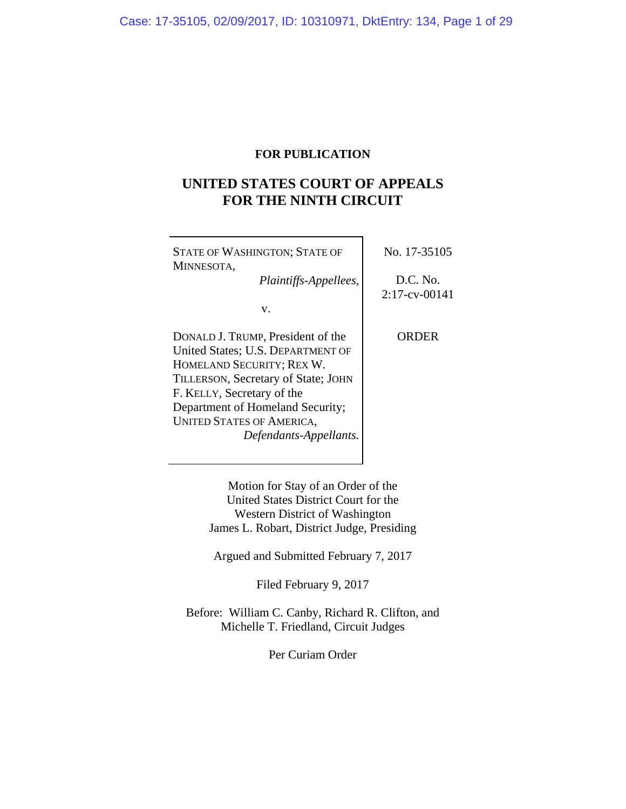## **FOR PUBLICATION**

# **UNITED STATES COURT OF APPEALS FOR THE NINTH CIRCUIT**

| <b>STATE OF WASHINGTON; STATE OF</b><br>MINNESOTA,             | No. 17-35105                 |
|----------------------------------------------------------------|------------------------------|
| Plaintiffs-Appellees,                                          | D.C. No.<br>$2:17$ -cv-00141 |
| v.                                                             |                              |
| DONALD J. TRUMP, President of the                              | ORDER                        |
| United States; U.S. DEPARTMENT OF<br>HOMELAND SECURITY; REX W. |                              |
| TILLERSON, Secretary of State; JOHN                            |                              |
| F. KELLY, Secretary of the<br>Department of Homeland Security; |                              |
| <b>UNITED STATES OF AMERICA,</b>                               |                              |
| Defendants-Appellants.                                         |                              |

Motion for Stay of an Order of the United States District Court for the Western District of Washington James L. Robart, District Judge, Presiding

Argued and Submitted February 7, 2017

Filed February 9, 2017

Before: William C. Canby, Richard R. Clifton, and Michelle T. Friedland, Circuit Judges

Per Curiam Order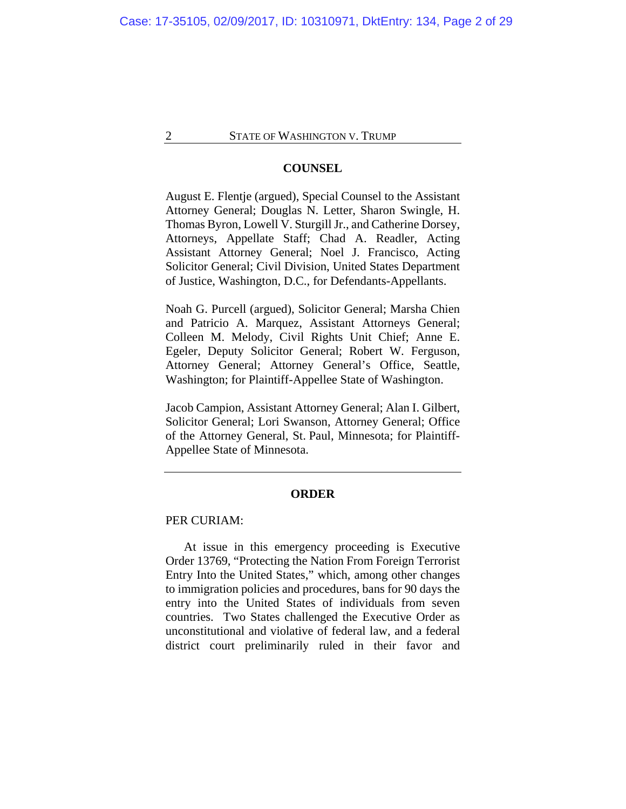#### **COUNSEL**

August E. Flentje (argued), Special Counsel to the Assistant Attorney General; Douglas N. Letter, Sharon Swingle, H. Thomas Byron, Lowell V. Sturgill Jr., and Catherine Dorsey, Attorneys, Appellate Staff; Chad A. Readler, Acting Assistant Attorney General; Noel J. Francisco, Acting Solicitor General; Civil Division, United States Department of Justice, Washington, D.C., for Defendants-Appellants.

Noah G. Purcell (argued), Solicitor General; Marsha Chien and Patricio A. Marquez, Assistant Attorneys General; Colleen M. Melody, Civil Rights Unit Chief; Anne E. Egeler, Deputy Solicitor General; Robert W. Ferguson, Attorney General; Attorney General's Office, Seattle, Washington; for Plaintiff-Appellee State of Washington.

Jacob Campion, Assistant Attorney General; Alan I. Gilbert, Solicitor General; Lori Swanson, Attorney General; Office of the Attorney General, St. Paul, Minnesota; for Plaintiff-Appellee State of Minnesota.

### **ORDER**

## PER CURIAM:

At issue in this emergency proceeding is Executive Order 13769, "Protecting the Nation From Foreign Terrorist Entry Into the United States," which, among other changes to immigration policies and procedures, bans for 90 days the entry into the United States of individuals from seven countries. Two States challenged the Executive Order as unconstitutional and violative of federal law, and a federal district court preliminarily ruled in their favor and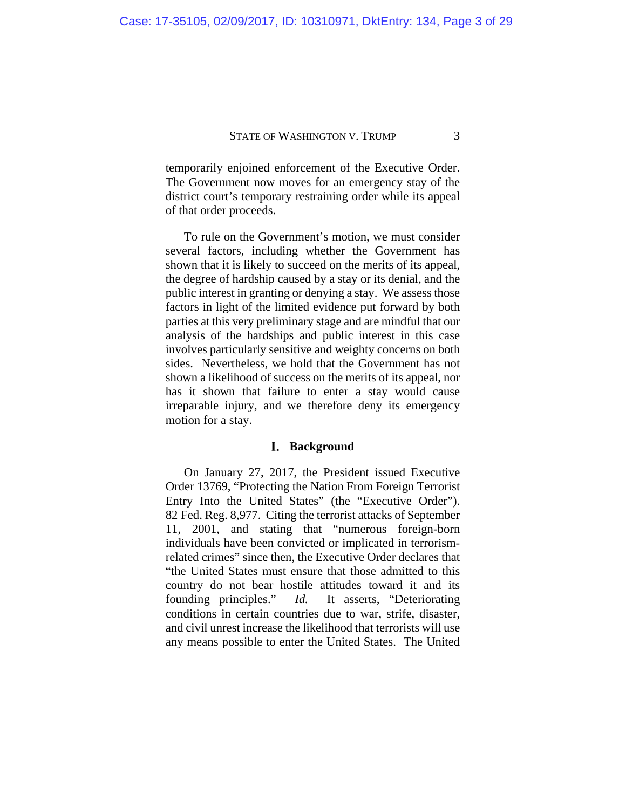temporarily enjoined enforcement of the Executive Order. The Government now moves for an emergency stay of the district court's temporary restraining order while its appeal of that order proceeds.

To rule on the Government's motion, we must consider several factors, including whether the Government has shown that it is likely to succeed on the merits of its appeal, the degree of hardship caused by a stay or its denial, and the public interest in granting or denying a stay. We assess those factors in light of the limited evidence put forward by both parties at this very preliminary stage and are mindful that our analysis of the hardships and public interest in this case involves particularly sensitive and weighty concerns on both sides. Nevertheless, we hold that the Government has not shown a likelihood of success on the merits of its appeal, nor has it shown that failure to enter a stay would cause irreparable injury, and we therefore deny its emergency motion for a stay.

#### **Background**

On January 27, 2017, the President issued Executive Order 13769, "Protecting the Nation From Foreign Terrorist Entry Into the United States" (the "Executive Order"). 82 Fed. Reg. 8,977. Citing the terrorist attacks of September 11, 2001, and stating that "numerous foreign-born individuals have been convicted or implicated in terrorismrelated crimes" since then, the Executive Order declares that "the United States must ensure that those admitted to this country do not bear hostile attitudes toward it and its founding principles." *Id.* It asserts, "Deteriorating conditions in certain countries due to war, strife, disaster, and civil unrest increase the likelihood that terrorists will use any means possible to enter the United States. The United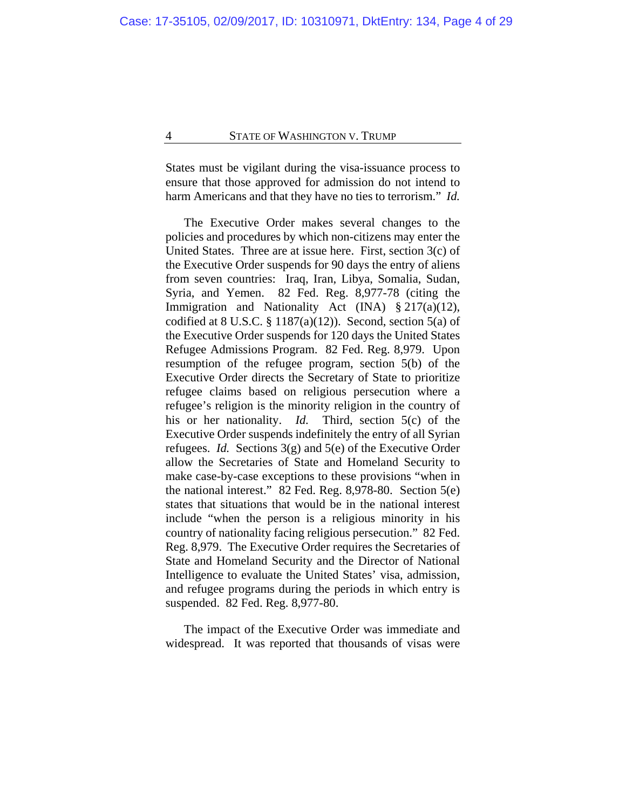States must be vigilant during the visa-issuance process to ensure that those approved for admission do not intend to harm Americans and that they have no ties to terrorism." *Id.*

The Executive Order makes several changes to the policies and procedures by which non-citizens may enter the United States. Three are at issue here. First, section 3(c) of the Executive Order suspends for 90 days the entry of aliens from seven countries: Iraq, Iran, Libya, Somalia, Sudan, Syria, and Yemen. 82 Fed. Reg. 8,977-78 (citing the Immigration and Nationality Act (INA) § 217(a)(12), codified at  $8 \text{ U.S.C. } § 1187(a)(12)$ . Second, section  $5(a)$  of the Executive Order suspends for 120 days the United States Refugee Admissions Program. 82 Fed. Reg. 8,979. Upon resumption of the refugee program, section 5(b) of the Executive Order directs the Secretary of State to prioritize refugee claims based on religious persecution where a refugee's religion is the minority religion in the country of his or her nationality. *Id.* Third, section 5(c) of the Executive Order suspends indefinitely the entry of all Syrian refugees. *Id.* Sections 3(g) and 5(e) of the Executive Order allow the Secretaries of State and Homeland Security to make case-by-case exceptions to these provisions "when in the national interest." 82 Fed. Reg. 8,978-80. Section 5(e) states that situations that would be in the national interest include "when the person is a religious minority in his country of nationality facing religious persecution." 82 Fed. Reg. 8,979. The Executive Order requires the Secretaries of State and Homeland Security and the Director of National Intelligence to evaluate the United States' visa, admission, and refugee programs during the periods in which entry is suspended. 82 Fed. Reg. 8,977-80.

The impact of the Executive Order was immediate and widespread. It was reported that thousands of visas were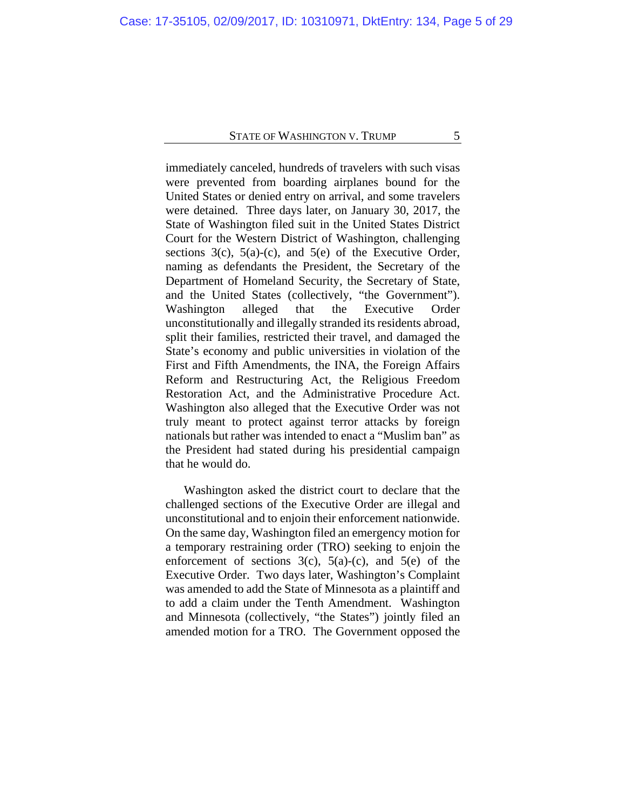immediately canceled, hundreds of travelers with such visas were prevented from boarding airplanes bound for the United States or denied entry on arrival, and some travelers were detained. Three days later, on January 30, 2017, the State of Washington filed suit in the United States District Court for the Western District of Washington, challenging sections  $3(c)$ ,  $5(a)-(c)$ , and  $5(e)$  of the Executive Order, naming as defendants the President, the Secretary of the Department of Homeland Security, the Secretary of State, and the United States (collectively, "the Government"). Washington alleged that the Executive Order unconstitutionally and illegally stranded its residents abroad, split their families, restricted their travel, and damaged the State's economy and public universities in violation of the First and Fifth Amendments, the INA, the Foreign Affairs Reform and Restructuring Act, the Religious Freedom Restoration Act, and the Administrative Procedure Act. Washington also alleged that the Executive Order was not truly meant to protect against terror attacks by foreign nationals but rather was intended to enact a "Muslim ban" as the President had stated during his presidential campaign that he would do.

Washington asked the district court to declare that the challenged sections of the Executive Order are illegal and unconstitutional and to enjoin their enforcement nationwide. On the same day, Washington filed an emergency motion for a temporary restraining order (TRO) seeking to enjoin the enforcement of sections  $3(c)$ ,  $5(a)-(c)$ , and  $5(e)$  of the Executive Order. Two days later, Washington's Complaint was amended to add the State of Minnesota as a plaintiff and to add a claim under the Tenth Amendment. Washington and Minnesota (collectively, "the States") jointly filed an amended motion for a TRO. The Government opposed the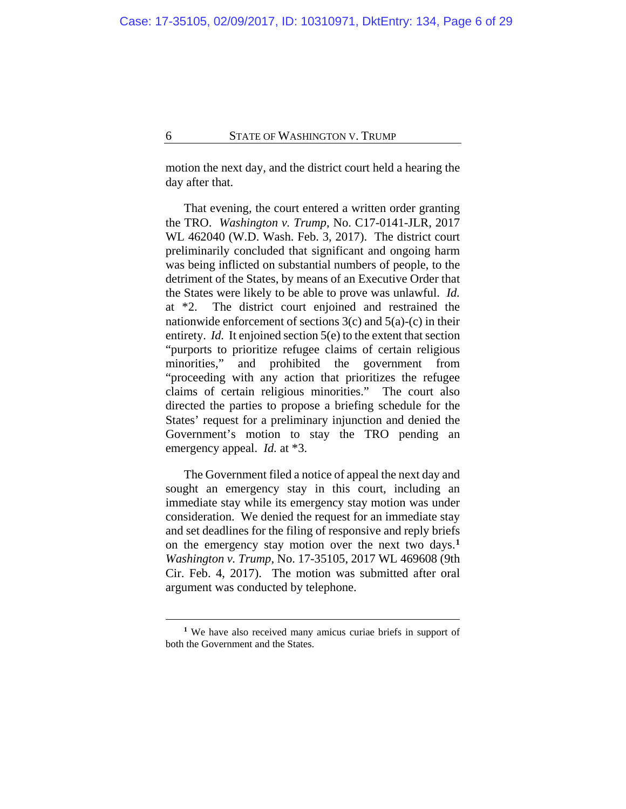motion the next day, and the district court held a hearing the day after that.

That evening, the court entered a written order granting the TRO. *Washington v. Trump*, No. C17-0141-JLR, 2017 WL 462040 (W.D. Wash. Feb. 3, 2017). The district court preliminarily concluded that significant and ongoing harm was being inflicted on substantial numbers of people, to the detriment of the States, by means of an Executive Order that the States were likely to be able to prove was unlawful. *Id.*  at \*2. The district court enjoined and restrained the nationwide enforcement of sections  $3(c)$  and  $5(a)-(c)$  in their entirety. *Id.* It enjoined section 5(e) to the extent that section "purports to prioritize refugee claims of certain religious minorities," and prohibited the government from "proceeding with any action that prioritizes the refugee claims of certain religious minorities." The court also directed the parties to propose a briefing schedule for the States' request for a preliminary injunction and denied the Government's motion to stay the TRO pending an emergency appeal. *Id.* at \*3.

The Government filed a notice of appeal the next day and sought an emergency stay in this court, including an immediate stay while its emergency stay motion was under consideration. We denied the request for an immediate stay and set deadlines for the filing of responsive and reply briefs on the emergency stay motion over the next two days.**[1](#page-5-0)** *Washington v. Trump*, No. 17-35105, 2017 WL 469608 (9th Cir. Feb. 4, 2017). The motion was submitted after oral argument was conducted by telephone.

<span id="page-5-0"></span>**<sup>1</sup>** We have also received many amicus curiae briefs in support of both the Government and the States.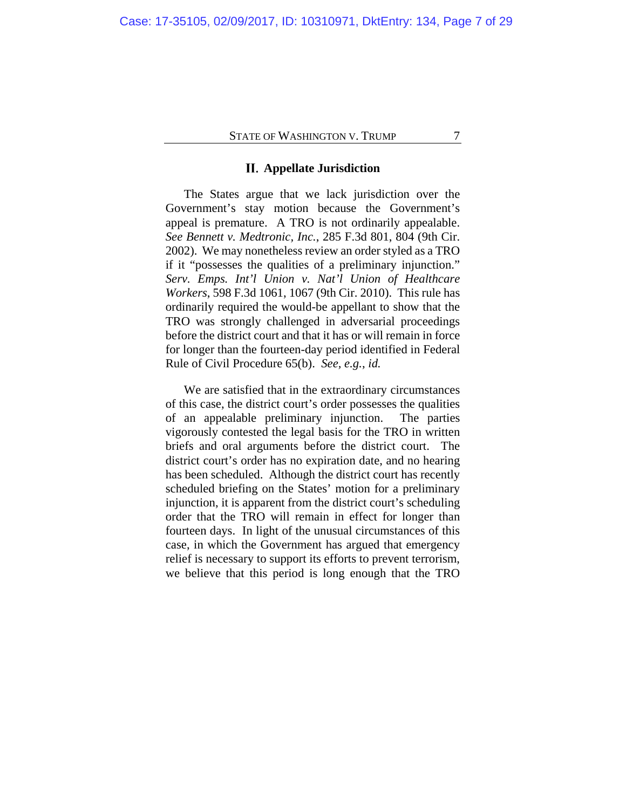## **Appellate Jurisdiction**

The States argue that we lack jurisdiction over the Government's stay motion because the Government's appeal is premature. A TRO is not ordinarily appealable. *See Bennett v. Medtronic, Inc.*, 285 F.3d 801, 804 (9th Cir. 2002). We may nonetheless review an order styled as a TRO if it "possesses the qualities of a preliminary injunction." *Serv. Emps. Int'l Union v. Nat'l Union of Healthcare Workers*, 598 F.3d 1061, 1067 (9th Cir. 2010). This rule has ordinarily required the would-be appellant to show that the TRO was strongly challenged in adversarial proceedings before the district court and that it has or will remain in force for longer than the fourteen-day period identified in Federal Rule of Civil Procedure 65(b). *See, e.g.*, *id.*

We are satisfied that in the extraordinary circumstances of this case, the district court's order possesses the qualities of an appealable preliminary injunction. The parties vigorously contested the legal basis for the TRO in written briefs and oral arguments before the district court. The district court's order has no expiration date, and no hearing has been scheduled. Although the district court has recently scheduled briefing on the States' motion for a preliminary injunction, it is apparent from the district court's scheduling order that the TRO will remain in effect for longer than fourteen days. In light of the unusual circumstances of this case, in which the Government has argued that emergency relief is necessary to support its efforts to prevent terrorism, we believe that this period is long enough that the TRO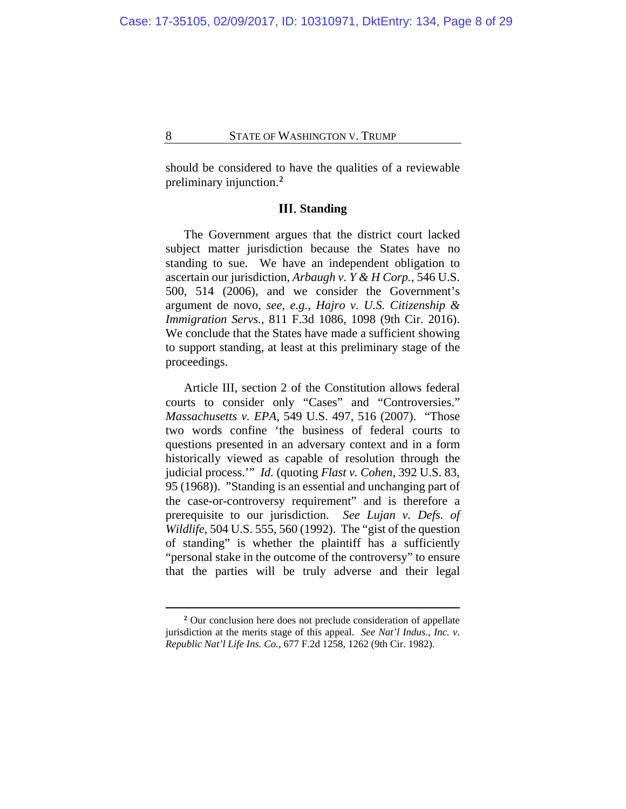should be considered to have the qualities of a reviewable preliminary injunction.**[2](#page-7-0)**

## **Standing**

The Government argues that the district court lacked subject matter jurisdiction because the States have no standing to sue. We have an independent obligation to ascertain our jurisdiction, *Arbaugh v. Y & H Corp.*, 546 U.S. 500, 514 (2006), and we consider the Government's argument de novo, *see, e.g.*, *Hajro v. U.S. Citizenship & Immigration Servs.*, 811 F.3d 1086, 1098 (9th Cir. 2016). We conclude that the States have made a sufficient showing to support standing, at least at this preliminary stage of the proceedings.

Article III, section 2 of the Constitution allows federal courts to consider only "Cases" and "Controversies." *Massachusetts v. EPA*, 549 U.S. 497, 516 (2007). "Those two words confine 'the business of federal courts to questions presented in an adversary context and in a form historically viewed as capable of resolution through the judicial process.'" *Id.* (quoting *Flast v. Cohen*, 392 U.S. 83, 95 (1968)). "Standing is an essential and unchanging part of the case-or-controversy requirement" and is therefore a prerequisite to our jurisdiction. *See Lujan v. Defs. of Wildlife*, 504 U.S. 555, 560 (1992). The "gist of the question of standing" is whether the plaintiff has a sufficiently "personal stake in the outcome of the controversy" to ensure that the parties will be truly adverse and their legal

<span id="page-7-0"></span>**<sup>2</sup>** Our conclusion here does not preclude consideration of appellate jurisdiction at the merits stage of this appeal. *See Nat'l Indus., Inc. v. Republic Nat'l Life Ins. Co.*, 677 F.2d 1258, 1262 (9th Cir. 1982).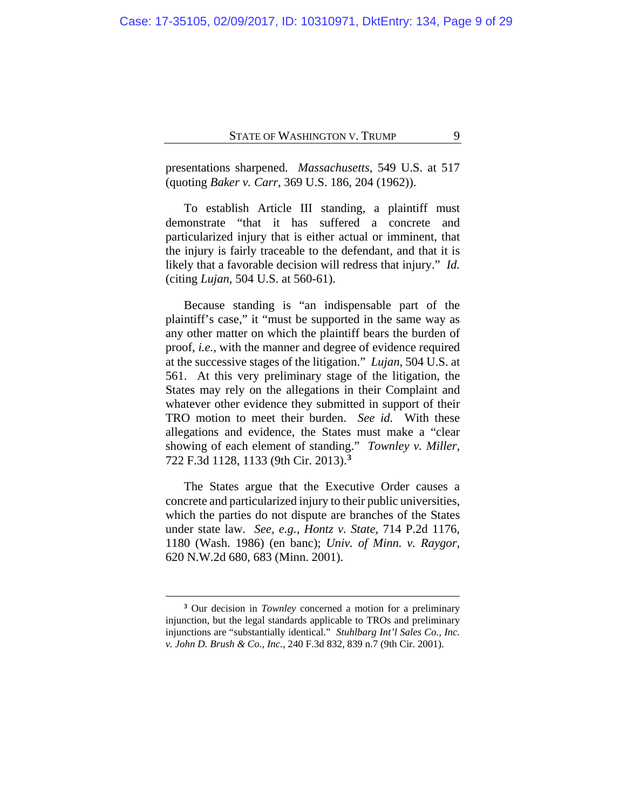presentations sharpened. *Massachusetts*, 549 U.S. at 517 (quoting *Baker v. Carr*, 369 U.S. 186, 204 (1962)).

To establish Article III standing, a plaintiff must demonstrate "that it has suffered a concrete and particularized injury that is either actual or imminent, that the injury is fairly traceable to the defendant, and that it is likely that a favorable decision will redress that injury." *Id.* (citing *Lujan*, 504 U.S. at 560-61).

Because standing is "an indispensable part of the plaintiff's case," it "must be supported in the same way as any other matter on which the plaintiff bears the burden of proof, *i.e.*, with the manner and degree of evidence required at the successive stages of the litigation." *Lujan*, 504 U.S. at 561. At this very preliminary stage of the litigation, the States may rely on the allegations in their Complaint and whatever other evidence they submitted in support of their TRO motion to meet their burden. *See id.* With these allegations and evidence, the States must make a "clear showing of each element of standing." *Townley v. Miller*, 722 F.3d 1128, 1133 (9th Cir. 2013).**[3](#page-8-0)**

The States argue that the Executive Order causes a concrete and particularized injury to their public universities, which the parties do not dispute are branches of the States under state law. *See, e.g.*, *Hontz v. State*, 714 P.2d 1176, 1180 (Wash. 1986) (en banc); *Univ. of Minn. v. Raygor*, 620 N.W.2d 680, 683 (Minn. 2001).

<span id="page-8-0"></span>**<sup>3</sup>** Our decision in *Townley* concerned a motion for a preliminary injunction, but the legal standards applicable to TROs and preliminary injunctions are "substantially identical." *Stuhlbarg Int'l Sales Co., Inc. v. John D. Brush & Co., Inc.*, 240 F.3d 832, 839 n.7 (9th Cir. 2001).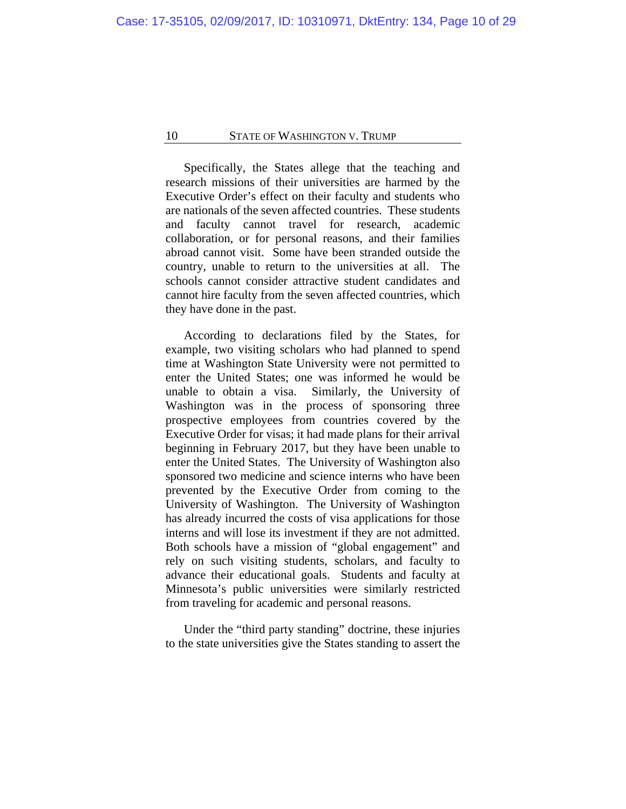Specifically, the States allege that the teaching and research missions of their universities are harmed by the Executive Order's effect on their faculty and students who are nationals of the seven affected countries. These students and faculty cannot travel for research, academic collaboration, or for personal reasons, and their families abroad cannot visit. Some have been stranded outside the country, unable to return to the universities at all. The schools cannot consider attractive student candidates and cannot hire faculty from the seven affected countries, which they have done in the past.

According to declarations filed by the States, for example, two visiting scholars who had planned to spend time at Washington State University were not permitted to enter the United States; one was informed he would be unable to obtain a visa. Similarly, the University of Washington was in the process of sponsoring three prospective employees from countries covered by the Executive Order for visas; it had made plans for their arrival beginning in February 2017, but they have been unable to enter the United States. The University of Washington also sponsored two medicine and science interns who have been prevented by the Executive Order from coming to the University of Washington. The University of Washington has already incurred the costs of visa applications for those interns and will lose its investment if they are not admitted. Both schools have a mission of "global engagement" and rely on such visiting students, scholars, and faculty to advance their educational goals. Students and faculty at Minnesota's public universities were similarly restricted from traveling for academic and personal reasons.

Under the "third party standing" doctrine, these injuries to the state universities give the States standing to assert the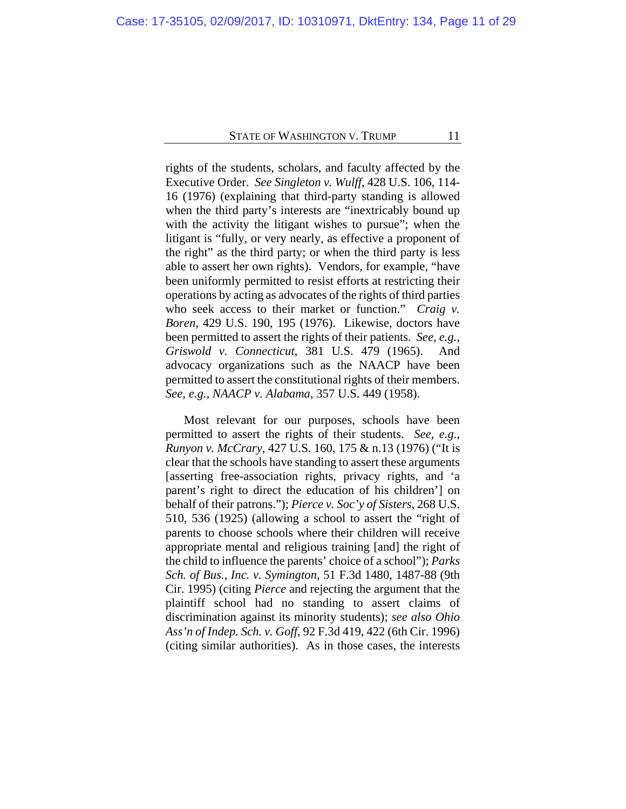rights of the students, scholars, and faculty affected by the Executive Order. *See Singleton v. Wulff*, 428 U.S. 106, 114- 16 (1976) (explaining that third-party standing is allowed when the third party's interests are "inextricably bound up with the activity the litigant wishes to pursue"; when the litigant is "fully, or very nearly, as effective a proponent of the right" as the third party; or when the third party is less able to assert her own rights). Vendors, for example, "have been uniformly permitted to resist efforts at restricting their operations by acting as advocates of the rights of third parties who seek access to their market or function." *Craig v. Boren*, 429 U.S. 190, 195 (1976). Likewise, doctors have been permitted to assert the rights of their patients. *See, e.g.*, *Griswold v. Connecticut*, 381 U.S. 479 (1965). And advocacy organizations such as the NAACP have been permitted to assert the constitutional rights of their members. *See, e.g.*, *NAACP v. Alabama*, 357 U.S. 449 (1958).

Most relevant for our purposes, schools have been permitted to assert the rights of their students. *See, e.g.*, *Runyon v. McCrary*, 427 U.S. 160, 175 & n.13 (1976) ("It is clear that the schools have standing to assert these arguments [asserting free-association rights, privacy rights, and 'a parent's right to direct the education of his children'] on behalf of their patrons."); *Pierce v. Soc'y of Sisters*, 268 U.S. 510, 536 (1925) (allowing a school to assert the "right of parents to choose schools where their children will receive appropriate mental and religious training [and] the right of the child to influence the parents' choice of a school"); *Parks Sch. of Bus., Inc. v. Symington*, 51 F.3d 1480, 1487-88 (9th Cir. 1995) (citing *Pierce* and rejecting the argument that the plaintiff school had no standing to assert claims of discrimination against its minority students); *see also Ohio Ass'n of Indep. Sch. v. Goff*, 92 F.3d 419, 422 (6th Cir. 1996) (citing similar authorities). As in those cases, the interests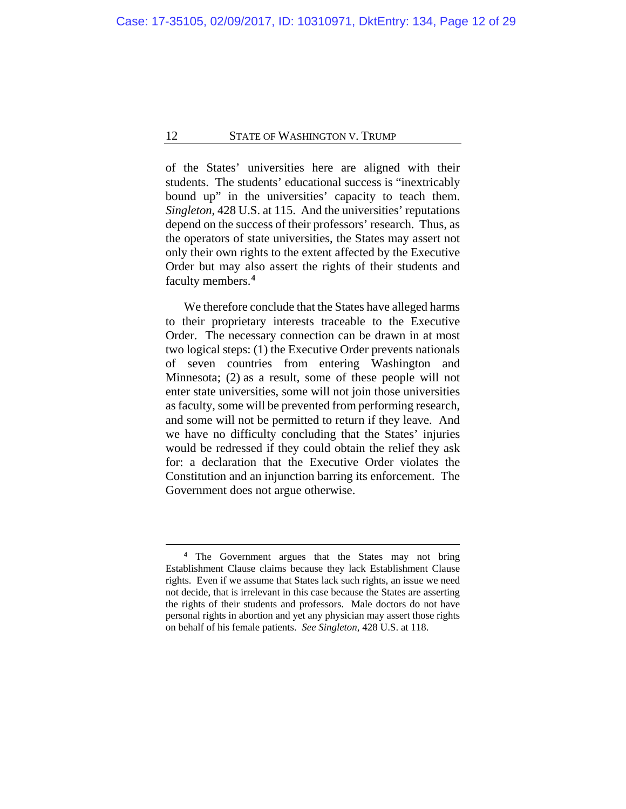of the States' universities here are aligned with their students. The students' educational success is "inextricably bound up" in the universities' capacity to teach them. *Singleton*, 428 U.S. at 115. And the universities' reputations depend on the success of their professors' research. Thus, as the operators of state universities, the States may assert not only their own rights to the extent affected by the Executive Order but may also assert the rights of their students and faculty members.**[4](#page-11-0)**

We therefore conclude that the States have alleged harms to their proprietary interests traceable to the Executive Order. The necessary connection can be drawn in at most two logical steps: (1) the Executive Order prevents nationals of seven countries from entering Washington and Minnesota; (2) as a result, some of these people will not enter state universities, some will not join those universities as faculty, some will be prevented from performing research, and some will not be permitted to return if they leave. And we have no difficulty concluding that the States' injuries would be redressed if they could obtain the relief they ask for: a declaration that the Executive Order violates the Constitution and an injunction barring its enforcement. The Government does not argue otherwise.

<span id="page-11-0"></span>**<sup>4</sup>** The Government argues that the States may not bring Establishment Clause claims because they lack Establishment Clause rights. Even if we assume that States lack such rights, an issue we need not decide, that is irrelevant in this case because the States are asserting the rights of their students and professors. Male doctors do not have personal rights in abortion and yet any physician may assert those rights on behalf of his female patients. *See Singleton*, 428 U.S. at 118.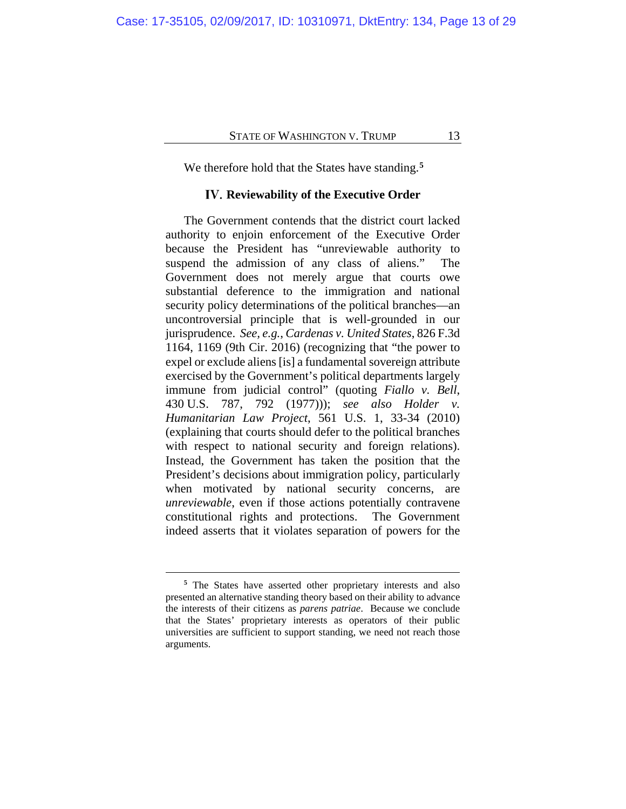We therefore hold that the States have standing.**[5](#page-12-0)**

## **Reviewability of the Executive Order**

The Government contends that the district court lacked authority to enjoin enforcement of the Executive Order because the President has "unreviewable authority to suspend the admission of any class of aliens." The Government does not merely argue that courts owe substantial deference to the immigration and national security policy determinations of the political branches—an uncontroversial principle that is well-grounded in our jurisprudence. *See, e.g.*, *Cardenas v. United States*, 826 F.3d 1164, 1169 (9th Cir. 2016) (recognizing that "the power to expel or exclude aliens [is] a fundamental sovereign attribute exercised by the Government's political departments largely immune from judicial control" (quoting *Fiallo v. Bell*, 430 U.S. 787, 792 (1977))); *see also Holder v. Humanitarian Law Project*, 561 U.S. 1, 33-34 (2010) (explaining that courts should defer to the political branches with respect to national security and foreign relations). Instead, the Government has taken the position that the President's decisions about immigration policy, particularly when motivated by national security concerns, are *unreviewable*, even if those actions potentially contravene constitutional rights and protections. The Government indeed asserts that it violates separation of powers for the

<span id="page-12-0"></span>**<sup>5</sup>** The States have asserted other proprietary interests and also presented an alternative standing theory based on their ability to advance the interests of their citizens as *parens patriae*. Because we conclude that the States' proprietary interests as operators of their public universities are sufficient to support standing, we need not reach those arguments.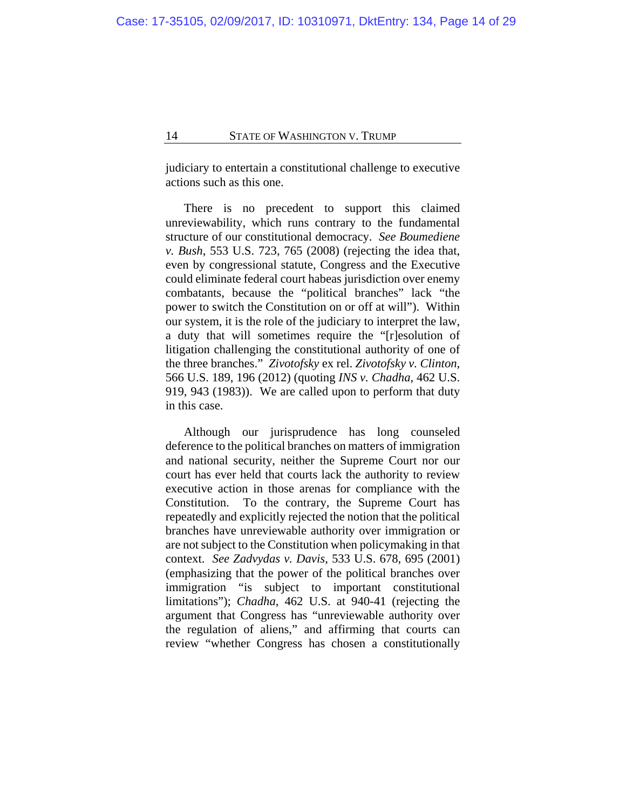judiciary to entertain a constitutional challenge to executive actions such as this one.

There is no precedent to support this claimed unreviewability, which runs contrary to the fundamental structure of our constitutional democracy. *See Boumediene v. Bush*, 553 U.S. 723, 765 (2008) (rejecting the idea that, even by congressional statute, Congress and the Executive could eliminate federal court habeas jurisdiction over enemy combatants, because the "political branches" lack "the power to switch the Constitution on or off at will"). Within our system, it is the role of the judiciary to interpret the law, a duty that will sometimes require the "[r]esolution of litigation challenging the constitutional authority of one of the three branches." *Zivotofsky* ex rel. *Zivotofsky v. Clinton*, 566 U.S. 189, 196 (2012) (quoting *INS v. Chadha*, 462 U.S. 919, 943 (1983)). We are called upon to perform that duty in this case.

Although our jurisprudence has long counseled deference to the political branches on matters of immigration and national security, neither the Supreme Court nor our court has ever held that courts lack the authority to review executive action in those arenas for compliance with the Constitution. To the contrary, the Supreme Court has repeatedly and explicitly rejected the notion that the political branches have unreviewable authority over immigration or are not subject to the Constitution when policymaking in that context. *See Zadvydas v. Davis*, 533 U.S. 678, 695 (2001) (emphasizing that the power of the political branches over immigration "is subject to important constitutional limitations"); *Chadha*, 462 U.S. at 940-41 (rejecting the argument that Congress has "unreviewable authority over the regulation of aliens," and affirming that courts can review "whether Congress has chosen a constitutionally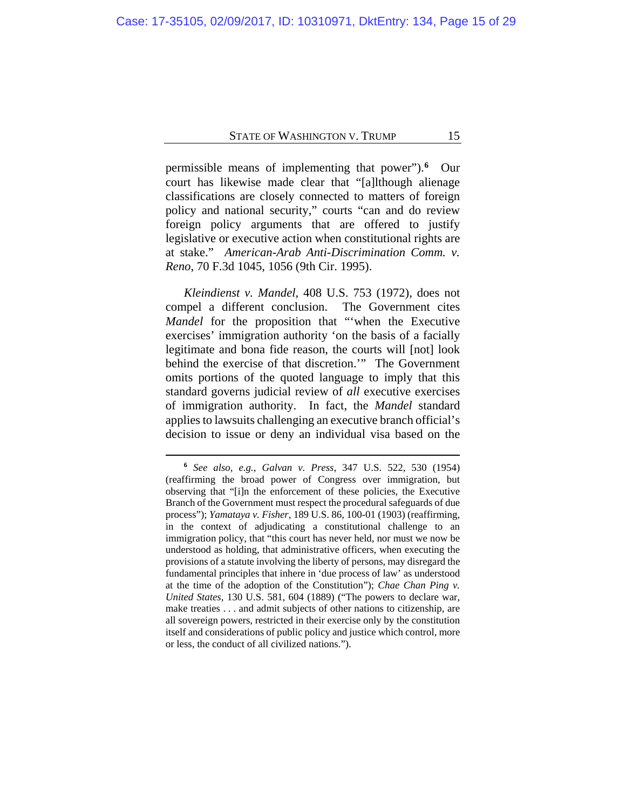permissible means of implementing that power").**[6](#page-14-0)** Our court has likewise made clear that "[a]lthough alienage classifications are closely connected to matters of foreign policy and national security," courts "can and do review foreign policy arguments that are offered to justify legislative or executive action when constitutional rights are at stake." *American-Arab Anti-Discrimination Comm. v. Reno*, 70 F.3d 1045, 1056 (9th Cir. 1995).

*Kleindienst v. Mandel*, 408 U.S. 753 (1972), does not compel a different conclusion. The Government cites *Mandel* for the proposition that "'when the Executive exercises' immigration authority 'on the basis of a facially legitimate and bona fide reason, the courts will [not] look behind the exercise of that discretion.'" The Government omits portions of the quoted language to imply that this standard governs judicial review of *all* executive exercises of immigration authority. In fact, the *Mandel* standard applies to lawsuits challenging an executive branch official's decision to issue or deny an individual visa based on the

<span id="page-14-0"></span>**<sup>6</sup>** *See also, e.g.*, *Galvan v. Press*, 347 U.S. 522, 530 (1954) (reaffirming the broad power of Congress over immigration, but observing that "[i]n the enforcement of these policies, the Executive Branch of the Government must respect the procedural safeguards of due process"); *Yamataya v. Fisher*, 189 U.S. 86, 100-01 (1903) (reaffirming, in the context of adjudicating a constitutional challenge to an immigration policy, that "this court has never held, nor must we now be understood as holding, that administrative officers, when executing the provisions of a statute involving the liberty of persons, may disregard the fundamental principles that inhere in 'due process of law' as understood at the time of the adoption of the Constitution"); *Chae Chan Ping v. United States*, 130 U.S. 581, 604 (1889) ("The powers to declare war, make treaties . . . and admit subjects of other nations to citizenship, are all sovereign powers, restricted in their exercise only by the constitution itself and considerations of public policy and justice which control, more or less, the conduct of all civilized nations.").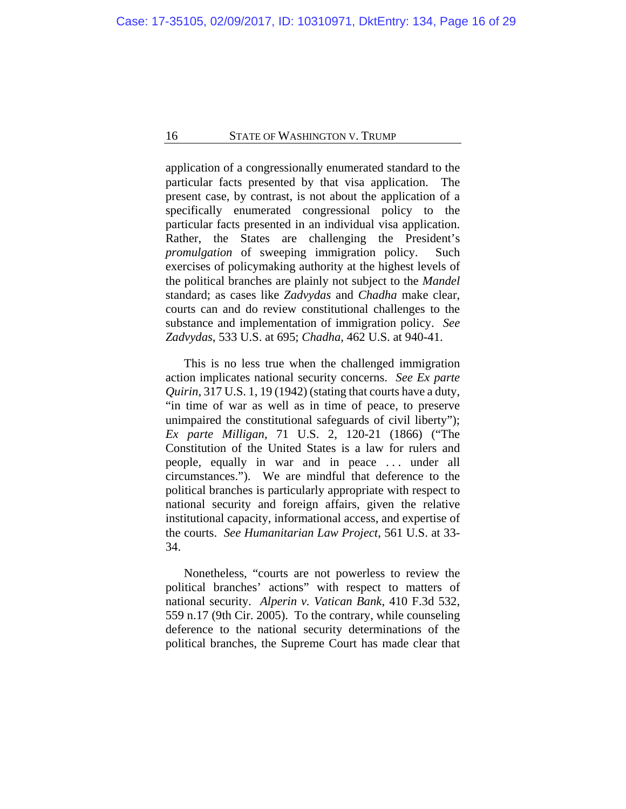application of a congressionally enumerated standard to the particular facts presented by that visa application. The present case, by contrast, is not about the application of a specifically enumerated congressional policy to the particular facts presented in an individual visa application. Rather, the States are challenging the President's *promulgation* of sweeping immigration policy. Such exercises of policymaking authority at the highest levels of the political branches are plainly not subject to the *Mandel*  standard; as cases like *Zadvydas* and *Chadha* make clear, courts can and do review constitutional challenges to the substance and implementation of immigration policy. *See Zadvydas*, 533 U.S. at 695; *Chadha*, 462 U.S. at 940-41.

This is no less true when the challenged immigration action implicates national security concerns. *See Ex parte Quirin*, 317 U.S. 1, 19 (1942) (stating that courts have a duty, "in time of war as well as in time of peace, to preserve unimpaired the constitutional safeguards of civil liberty"); *Ex parte Milligan*, 71 U.S. 2, 120-21 (1866) ("The Constitution of the United States is a law for rulers and people, equally in war and in peace . . . under all circumstances."). We are mindful that deference to the political branches is particularly appropriate with respect to national security and foreign affairs, given the relative institutional capacity, informational access, and expertise of the courts. *See Humanitarian Law Project*, 561 U.S. at 33- 34.

Nonetheless, "courts are not powerless to review the political branches' actions" with respect to matters of national security. *Alperin v. Vatican Bank*, 410 F.3d 532, 559 n.17 (9th Cir. 2005). To the contrary, while counseling deference to the national security determinations of the political branches, the Supreme Court has made clear that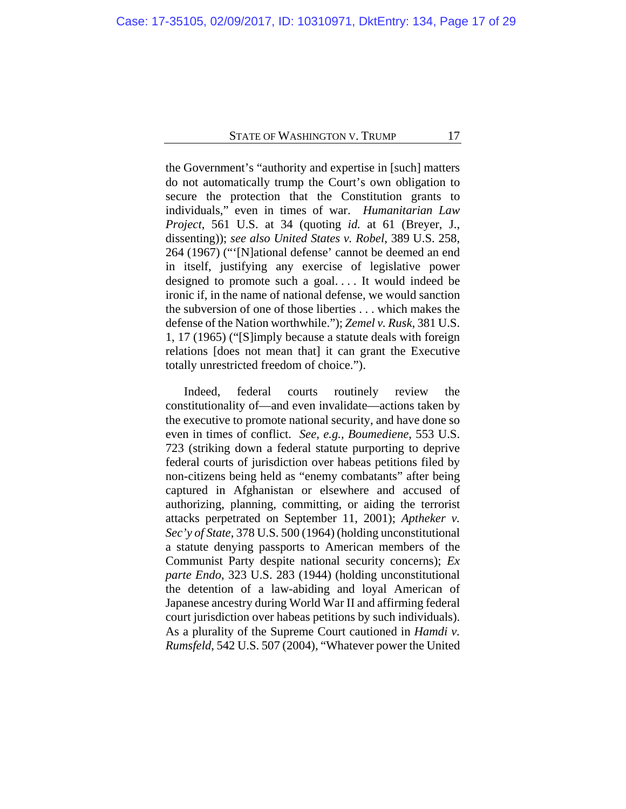the Government's "authority and expertise in [such] matters do not automatically trump the Court's own obligation to secure the protection that the Constitution grants to individuals," even in times of war. *Humanitarian Law Project*, 561 U.S. at 34 (quoting *id.* at 61 (Breyer, J., dissenting)); *see also United States v. Robel*, 389 U.S. 258, 264 (1967) ("'[N]ational defense' cannot be deemed an end in itself, justifying any exercise of legislative power designed to promote such a goal. . . . It would indeed be ironic if, in the name of national defense, we would sanction the subversion of one of those liberties . . . which makes the defense of the Nation worthwhile."); *Zemel v. Rusk*, 381 U.S. 1, 17 (1965) ("[S]imply because a statute deals with foreign relations [does not mean that] it can grant the Executive totally unrestricted freedom of choice.").

Indeed, federal courts routinely review the constitutionality of—and even invalidate—actions taken by the executive to promote national security, and have done so even in times of conflict. *See, e.g.*, *Boumediene*, 553 U.S. 723 (striking down a federal statute purporting to deprive federal courts of jurisdiction over habeas petitions filed by non-citizens being held as "enemy combatants" after being captured in Afghanistan or elsewhere and accused of authorizing, planning, committing, or aiding the terrorist attacks perpetrated on September 11, 2001); *Aptheker v. Sec'y of State*, 378 U.S. 500 (1964) (holding unconstitutional a statute denying passports to American members of the Communist Party despite national security concerns); *Ex parte Endo*, 323 U.S. 283 (1944) (holding unconstitutional the detention of a law-abiding and loyal American of Japanese ancestry during World War II and affirming federal court jurisdiction over habeas petitions by such individuals). As a plurality of the Supreme Court cautioned in *Hamdi v. Rumsfeld*, 542 U.S. 507 (2004), "Whatever power the United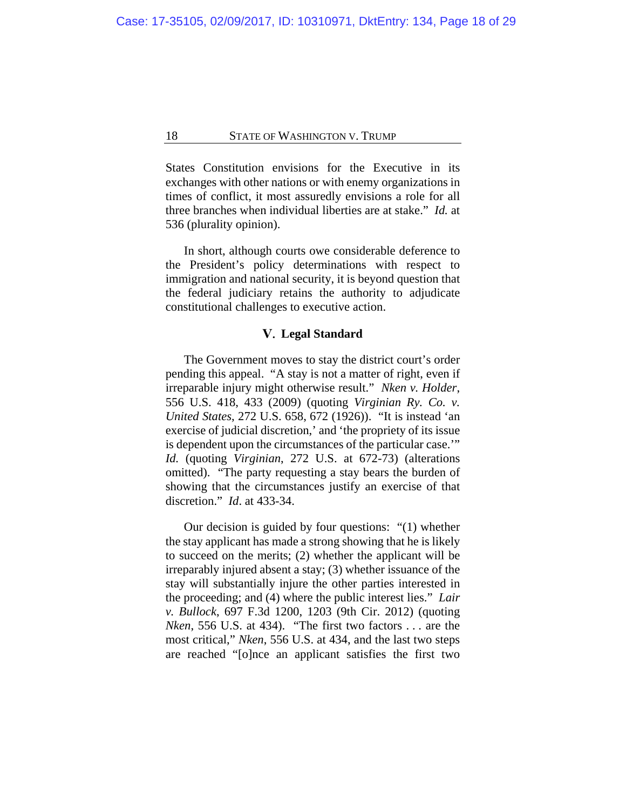States Constitution envisions for the Executive in its exchanges with other nations or with enemy organizations in times of conflict, it most assuredly envisions a role for all three branches when individual liberties are at stake." *Id.* at 536 (plurality opinion).

In short, although courts owe considerable deference to the President's policy determinations with respect to immigration and national security, it is beyond question that the federal judiciary retains the authority to adjudicate constitutional challenges to executive action.

## **Legal Standard**

The Government moves to stay the district court's order pending this appeal. "A stay is not a matter of right, even if irreparable injury might otherwise result." *Nken v. Holder*, 556 U.S. 418, 433 (2009) (quoting *Virginian Ry. Co. v. United States*, 272 U.S. 658, 672 (1926)). "It is instead 'an exercise of judicial discretion,' and 'the propriety of its issue is dependent upon the circumstances of the particular case.'" *Id.* (quoting *Virginian*, 272 U.S. at 672-73) (alterations omitted). "The party requesting a stay bears the burden of showing that the circumstances justify an exercise of that discretion." *Id*. at 433-34.

Our decision is guided by four questions: "(1) whether the stay applicant has made a strong showing that he is likely to succeed on the merits; (2) whether the applicant will be irreparably injured absent a stay; (3) whether issuance of the stay will substantially injure the other parties interested in the proceeding; and (4) where the public interest lies." *Lair v. Bullock*, 697 F.3d 1200, 1203 (9th Cir. 2012) (quoting *Nken*, 556 U.S. at 434). "The first two factors . . . are the most critical," *Nken*, 556 U.S. at 434, and the last two steps are reached "[o]nce an applicant satisfies the first two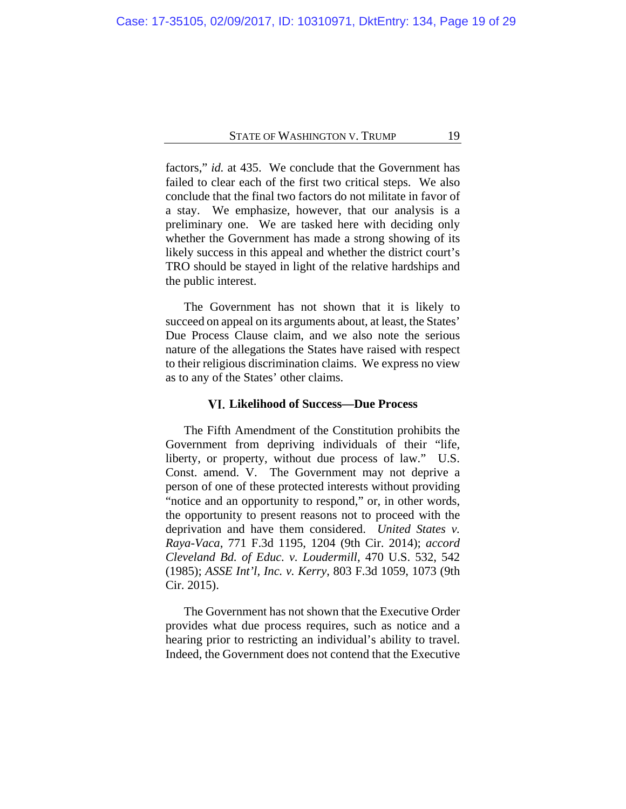factors," *id.* at 435. We conclude that the Government has failed to clear each of the first two critical steps. We also conclude that the final two factors do not militate in favor of a stay. We emphasize, however, that our analysis is a preliminary one. We are tasked here with deciding only whether the Government has made a strong showing of its likely success in this appeal and whether the district court's TRO should be stayed in light of the relative hardships and the public interest.

The Government has not shown that it is likely to succeed on appeal on its arguments about, at least, the States' Due Process Clause claim, and we also note the serious nature of the allegations the States have raised with respect to their religious discrimination claims. We express no view as to any of the States' other claims.

#### **Likelihood of Success—Due Process**

The Fifth Amendment of the Constitution prohibits the Government from depriving individuals of their "life, liberty, or property, without due process of law." U.S. Const. amend. V. The Government may not deprive a person of one of these protected interests without providing "notice and an opportunity to respond," or, in other words, the opportunity to present reasons not to proceed with the deprivation and have them considered. *United States v. Raya-Vaca*, 771 F.3d 1195, 1204 (9th Cir. 2014); *accord Cleveland Bd. of Educ. v. Loudermill*, 470 U.S. 532, 542 (1985); *ASSE Int'l, Inc. v. Kerry*, 803 F.3d 1059, 1073 (9th Cir. 2015).

The Government has not shown that the Executive Order provides what due process requires, such as notice and a hearing prior to restricting an individual's ability to travel. Indeed, the Government does not contend that the Executive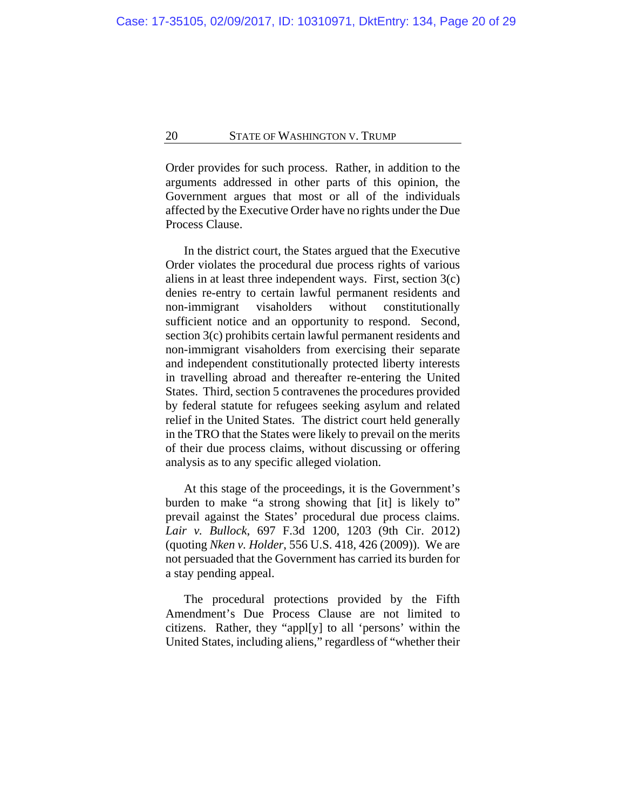Order provides for such process. Rather, in addition to the arguments addressed in other parts of this opinion, the Government argues that most or all of the individuals affected by the Executive Order have no rights under the Due Process Clause.

In the district court, the States argued that the Executive Order violates the procedural due process rights of various aliens in at least three independent ways. First, section 3(c) denies re-entry to certain lawful permanent residents and non-immigrant visaholders without constitutionally sufficient notice and an opportunity to respond. Second, section 3(c) prohibits certain lawful permanent residents and non-immigrant visaholders from exercising their separate and independent constitutionally protected liberty interests in travelling abroad and thereafter re-entering the United States. Third, section 5 contravenes the procedures provided by federal statute for refugees seeking asylum and related relief in the United States. The district court held generally in the TRO that the States were likely to prevail on the merits of their due process claims, without discussing or offering analysis as to any specific alleged violation.

At this stage of the proceedings, it is the Government's burden to make "a strong showing that [it] is likely to" prevail against the States' procedural due process claims. *Lair v. Bullock*, 697 F.3d 1200, 1203 (9th Cir. 2012) (quoting *Nken v. Holder*, 556 U.S. 418, 426 (2009)). We are not persuaded that the Government has carried its burden for a stay pending appeal.

The procedural protections provided by the Fifth Amendment's Due Process Clause are not limited to citizens. Rather, they "appl[y] to all 'persons' within the United States, including aliens," regardless of "whether their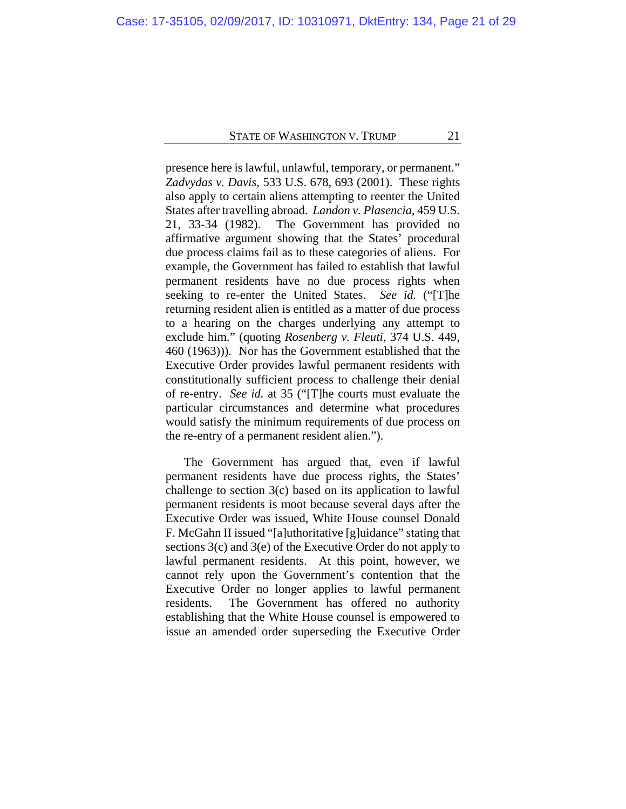presence here is lawful, unlawful, temporary, or permanent." *Zadvydas v. Davis*, 533 U.S. 678, 693 (2001). These rights also apply to certain aliens attempting to reenter the United States after travelling abroad. *Landon v. Plasencia*, 459 U.S. 21, 33-34 (1982). The Government has provided no affirmative argument showing that the States' procedural due process claims fail as to these categories of aliens. For example, the Government has failed to establish that lawful permanent residents have no due process rights when seeking to re-enter the United States. *See id.* ("[T]he returning resident alien is entitled as a matter of due process to a hearing on the charges underlying any attempt to exclude him." (quoting *Rosenberg v. Fleuti*, 374 U.S. 449, 460 (1963))). Nor has the Government established that the Executive Order provides lawful permanent residents with constitutionally sufficient process to challenge their denial of re-entry. *See id.* at 35 ("[T]he courts must evaluate the particular circumstances and determine what procedures would satisfy the minimum requirements of due process on the re-entry of a permanent resident alien.").

The Government has argued that, even if lawful permanent residents have due process rights, the States' challenge to section 3(c) based on its application to lawful permanent residents is moot because several days after the Executive Order was issued, White House counsel Donald F. McGahn II issued "[a]uthoritative [g]uidance" stating that sections 3(c) and 3(e) of the Executive Order do not apply to lawful permanent residents. At this point, however, we cannot rely upon the Government's contention that the Executive Order no longer applies to lawful permanent residents. The Government has offered no authority establishing that the White House counsel is empowered to issue an amended order superseding the Executive Order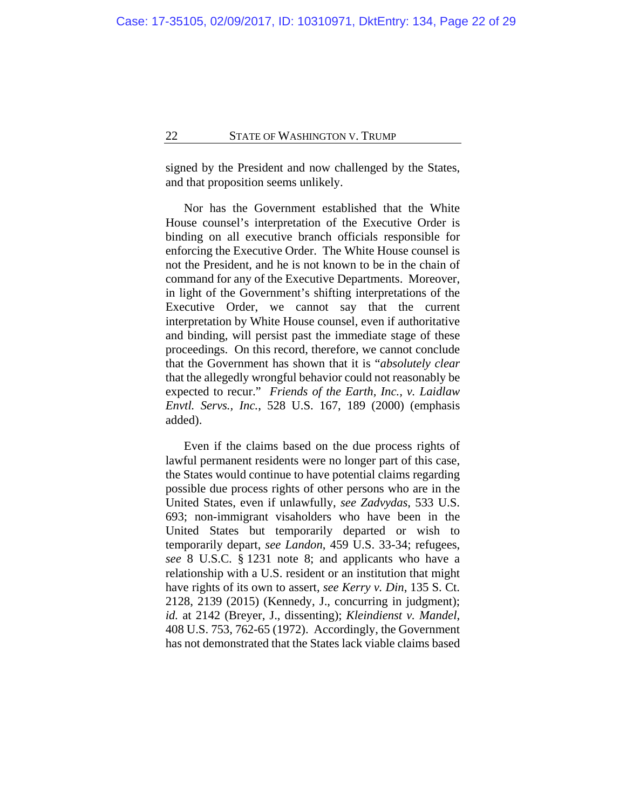signed by the President and now challenged by the States, and that proposition seems unlikely.

Nor has the Government established that the White House counsel's interpretation of the Executive Order is binding on all executive branch officials responsible for enforcing the Executive Order. The White House counsel is not the President, and he is not known to be in the chain of command for any of the Executive Departments. Moreover, in light of the Government's shifting interpretations of the Executive Order, we cannot say that the current interpretation by White House counsel, even if authoritative and binding, will persist past the immediate stage of these proceedings. On this record, therefore, we cannot conclude that the Government has shown that it is "*absolutely clear* that the allegedly wrongful behavior could not reasonably be expected to recur." *Friends of the Earth, Inc., v. Laidlaw Envtl. Servs., Inc.*, 528 U.S. 167, 189 (2000) (emphasis added).

Even if the claims based on the due process rights of lawful permanent residents were no longer part of this case, the States would continue to have potential claims regarding possible due process rights of other persons who are in the United States, even if unlawfully, *see Zadvydas*, 533 U.S. 693; non-immigrant visaholders who have been in the United States but temporarily departed or wish to temporarily depart, *see Landon*, 459 U.S. 33-34; refugees, *see* 8 U.S.C. § 1231 note 8; and applicants who have a relationship with a U.S. resident or an institution that might have rights of its own to assert, *see Kerry v. Din*, 135 S. Ct. 2128, 2139 (2015) (Kennedy, J., concurring in judgment); *id.* at 2142 (Breyer, J., dissenting); *Kleindienst v. Mandel*, 408 U.S. 753, 762-65 (1972). Accordingly, the Government has not demonstrated that the States lack viable claims based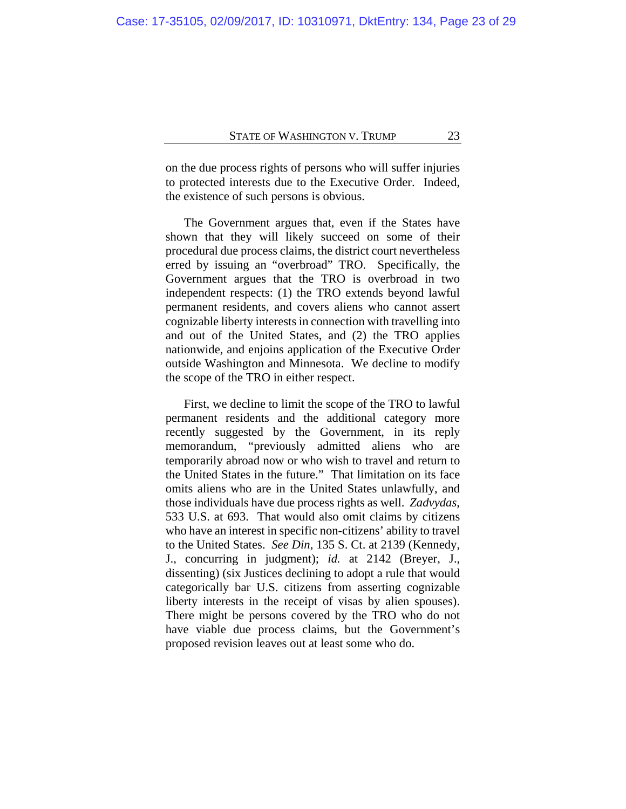on the due process rights of persons who will suffer injuries to protected interests due to the Executive Order. Indeed, the existence of such persons is obvious.

The Government argues that, even if the States have shown that they will likely succeed on some of their procedural due process claims, the district court nevertheless erred by issuing an "overbroad" TRO. Specifically, the Government argues that the TRO is overbroad in two independent respects: (1) the TRO extends beyond lawful permanent residents, and covers aliens who cannot assert cognizable liberty interests in connection with travelling into and out of the United States, and (2) the TRO applies nationwide, and enjoins application of the Executive Order outside Washington and Minnesota. We decline to modify the scope of the TRO in either respect.

First, we decline to limit the scope of the TRO to lawful permanent residents and the additional category more recently suggested by the Government, in its reply memorandum, "previously admitted aliens who are temporarily abroad now or who wish to travel and return to the United States in the future." That limitation on its face omits aliens who are in the United States unlawfully, and those individuals have due process rights as well. *Zadvydas*, 533 U.S. at 693. That would also omit claims by citizens who have an interest in specific non-citizens' ability to travel to the United States. *See Din*, 135 S. Ct. at 2139 (Kennedy, J., concurring in judgment); *id.* at 2142 (Breyer, J., dissenting) (six Justices declining to adopt a rule that would categorically bar U.S. citizens from asserting cognizable liberty interests in the receipt of visas by alien spouses). There might be persons covered by the TRO who do not have viable due process claims, but the Government's proposed revision leaves out at least some who do.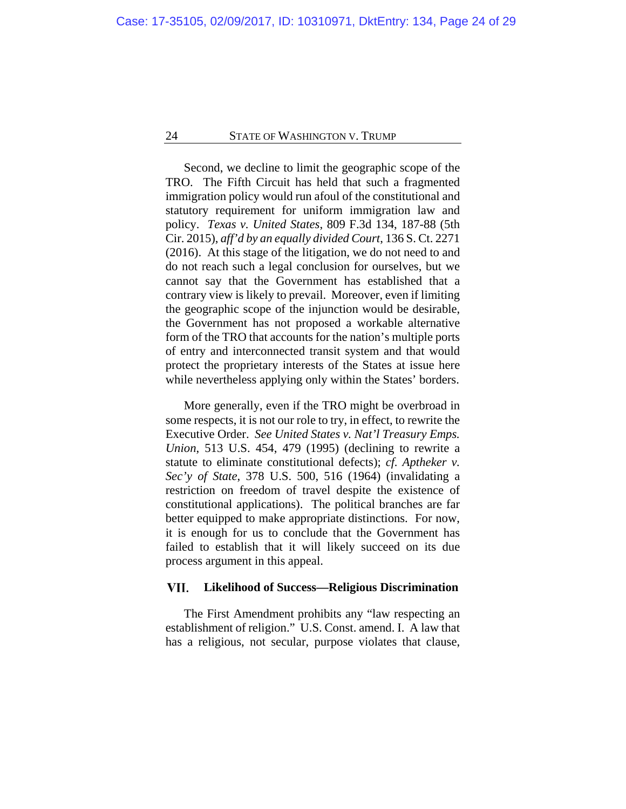Second, we decline to limit the geographic scope of the TRO. The Fifth Circuit has held that such a fragmented immigration policy would run afoul of the constitutional and statutory requirement for uniform immigration law and policy. *Texas v. United States*, 809 F.3d 134, 187-88 (5th Cir. 2015), *aff'd by an equally divided Court*, 136 S. Ct. 2271 (2016). At this stage of the litigation, we do not need to and do not reach such a legal conclusion for ourselves, but we cannot say that the Government has established that a contrary view is likely to prevail. Moreover, even if limiting the geographic scope of the injunction would be desirable, the Government has not proposed a workable alternative form of the TRO that accounts for the nation's multiple ports of entry and interconnected transit system and that would protect the proprietary interests of the States at issue here while nevertheless applying only within the States' borders.

More generally, even if the TRO might be overbroad in some respects, it is not our role to try, in effect, to rewrite the Executive Order. *See United States v. Nat'l Treasury Emps. Union*, 513 U.S. 454, 479 (1995) (declining to rewrite a statute to eliminate constitutional defects); *cf. Aptheker v. Sec'y of State*, 378 U.S. 500, 516 (1964) (invalidating a restriction on freedom of travel despite the existence of constitutional applications). The political branches are far better equipped to make appropriate distinctions. For now, it is enough for us to conclude that the Government has failed to establish that it will likely succeed on its due process argument in this appeal.

#### VII. **Likelihood of Success—Religious Discrimination**

The First Amendment prohibits any "law respecting an establishment of religion." U.S. Const. amend. I. A law that has a religious, not secular, purpose violates that clause,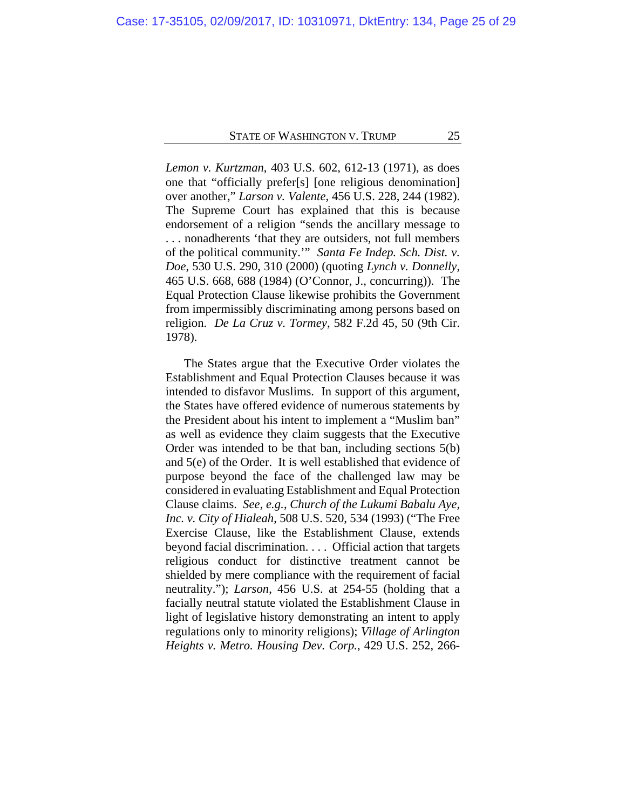*Lemon v. Kurtzman*, 403 U.S. 602, 612-13 (1971), as does one that "officially prefer[s] [one religious denomination] over another," *Larson v. Valente*, 456 U.S. 228, 244 (1982). The Supreme Court has explained that this is because endorsement of a religion "sends the ancillary message to . . . nonadherents 'that they are outsiders, not full members of the political community.'" *Santa Fe Indep. Sch. Dist. v. Doe*, 530 U.S. 290, 310 (2000) (quoting *Lynch v. Donnelly*, 465 U.S. 668, 688 (1984) (O'Connor, J., concurring)). The Equal Protection Clause likewise prohibits the Government from impermissibly discriminating among persons based on religion. *De La Cruz v. Tormey*, 582 F.2d 45, 50 (9th Cir. 1978).

The States argue that the Executive Order violates the Establishment and Equal Protection Clauses because it was intended to disfavor Muslims. In support of this argument, the States have offered evidence of numerous statements by the President about his intent to implement a "Muslim ban" as well as evidence they claim suggests that the Executive Order was intended to be that ban, including sections 5(b) and 5(e) of the Order. It is well established that evidence of purpose beyond the face of the challenged law may be considered in evaluating Establishment and Equal Protection Clause claims. *See, e.g.*, *Church of the Lukumi Babalu Aye, Inc. v. City of Hialeah*, 508 U.S. 520, 534 (1993) ("The Free Exercise Clause, like the Establishment Clause, extends beyond facial discrimination. . . . Official action that targets religious conduct for distinctive treatment cannot be shielded by mere compliance with the requirement of facial neutrality."); *Larson*, 456 U.S. at 254-55 (holding that a facially neutral statute violated the Establishment Clause in light of legislative history demonstrating an intent to apply regulations only to minority religions); *Village of Arlington Heights v. Metro. Housing Dev. Corp.*, 429 U.S. 252, 266-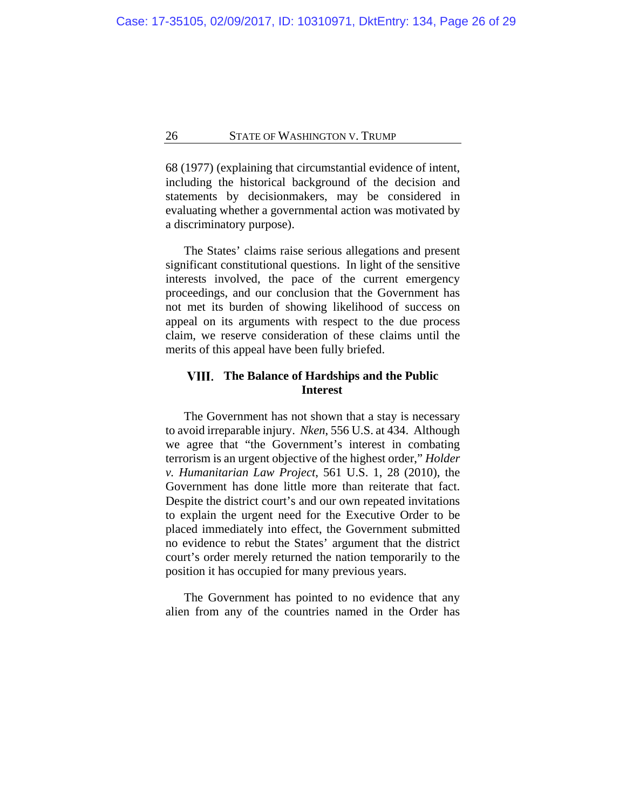68 (1977) (explaining that circumstantial evidence of intent, including the historical background of the decision and statements by decisionmakers, may be considered in evaluating whether a governmental action was motivated by a discriminatory purpose).

The States' claims raise serious allegations and present significant constitutional questions. In light of the sensitive interests involved, the pace of the current emergency proceedings, and our conclusion that the Government has not met its burden of showing likelihood of success on appeal on its arguments with respect to the due process claim, we reserve consideration of these claims until the merits of this appeal have been fully briefed.

## **The Balance of Hardships and the Public Interest**

The Government has not shown that a stay is necessary to avoid irreparable injury. *Nken*, 556 U.S. at 434. Although we agree that "the Government's interest in combating terrorism is an urgent objective of the highest order," *Holder v. Humanitarian Law Project*, 561 U.S. 1, 28 (2010), the Government has done little more than reiterate that fact. Despite the district court's and our own repeated invitations to explain the urgent need for the Executive Order to be placed immediately into effect, the Government submitted no evidence to rebut the States' argument that the district court's order merely returned the nation temporarily to the position it has occupied for many previous years.

The Government has pointed to no evidence that any alien from any of the countries named in the Order has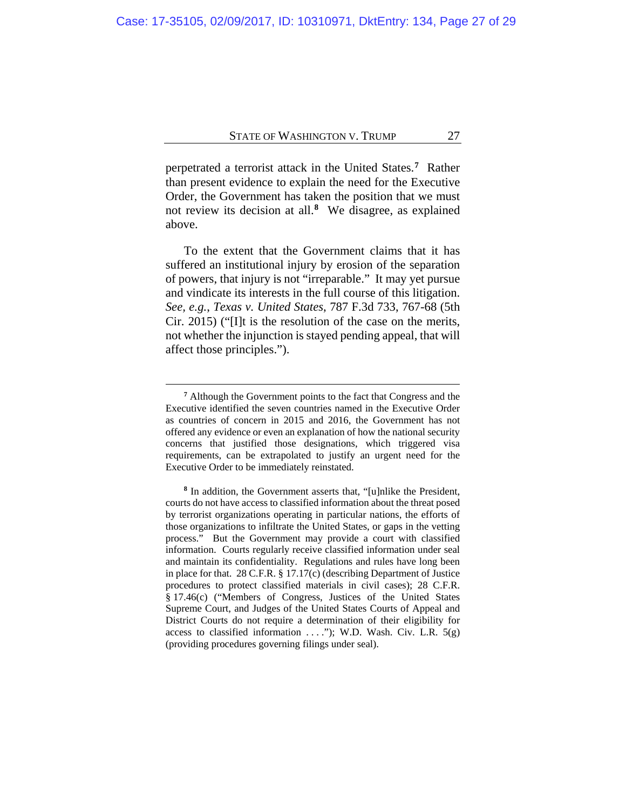perpetrated a terrorist attack in the United States.**[7](#page-26-0)** Rather than present evidence to explain the need for the Executive Order, the Government has taken the position that we must not review its decision at all.**[8](#page-26-1)** We disagree, as explained above.

To the extent that the Government claims that it has suffered an institutional injury by erosion of the separation of powers, that injury is not "irreparable." It may yet pursue and vindicate its interests in the full course of this litigation. *See, e.g.*, *Texas v. United States*, 787 F.3d 733, 767-68 (5th Cir. 2015) ("[I]t is the resolution of the case on the merits, not whether the injunction is stayed pending appeal, that will affect those principles.").

**<sup>7</sup>** Although the Government points to the fact that Congress and the Executive identified the seven countries named in the Executive Order as countries of concern in 2015 and 2016, the Government has not offered any evidence or even an explanation of how the national security concerns that justified those designations, which triggered visa requirements, can be extrapolated to justify an urgent need for the Executive Order to be immediately reinstated.

<span id="page-26-1"></span><span id="page-26-0"></span>**<sup>8</sup>** In addition, the Government asserts that, "[u]nlike the President, courts do not have access to classified information about the threat posed by terrorist organizations operating in particular nations, the efforts of those organizations to infiltrate the United States, or gaps in the vetting process." But the Government may provide a court with classified information. Courts regularly receive classified information under seal and maintain its confidentiality. Regulations and rules have long been in place for that. 28 C.F.R. § 17.17(c) (describing Department of Justice procedures to protect classified materials in civil cases); 28 C.F.R. § 17.46(c) ("Members of Congress, Justices of the United States Supreme Court, and Judges of the United States Courts of Appeal and District Courts do not require a determination of their eligibility for access to classified information  $\dots$ "); W.D. Wash. Civ. L.R.  $5(g)$ (providing procedures governing filings under seal).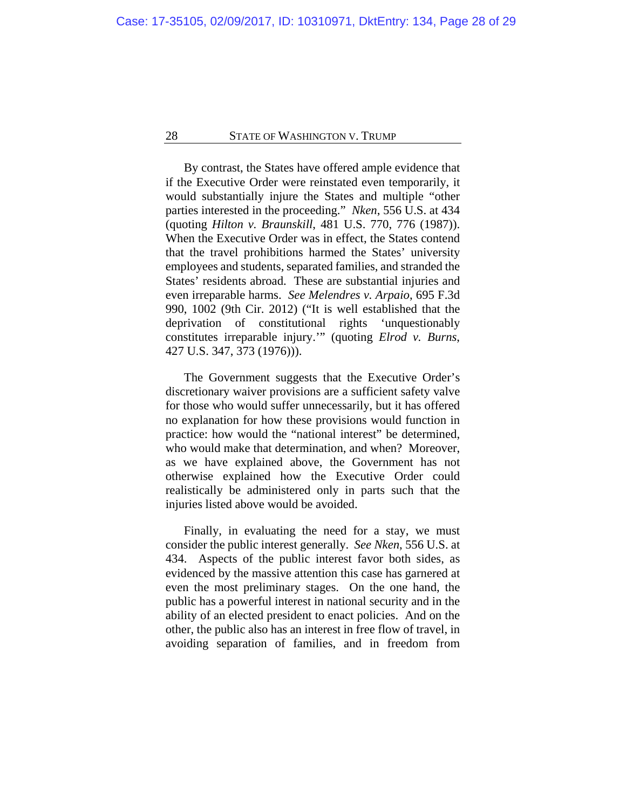By contrast, the States have offered ample evidence that if the Executive Order were reinstated even temporarily, it would substantially injure the States and multiple "other parties interested in the proceeding." *Nken*, 556 U.S. at 434 (quoting *Hilton v. Braunskill*, 481 U.S. 770, 776 (1987)). When the Executive Order was in effect, the States contend that the travel prohibitions harmed the States' university employees and students, separated families, and stranded the States' residents abroad. These are substantial injuries and even irreparable harms. *See Melendres v. Arpaio*, 695 F.3d 990, 1002 (9th Cir. 2012) ("It is well established that the deprivation of constitutional rights 'unquestionably constitutes irreparable injury.'" (quoting *Elrod v. Burns*, 427 U.S. 347, 373 (1976))).

The Government suggests that the Executive Order's discretionary waiver provisions are a sufficient safety valve for those who would suffer unnecessarily, but it has offered no explanation for how these provisions would function in practice: how would the "national interest" be determined, who would make that determination, and when? Moreover, as we have explained above, the Government has not otherwise explained how the Executive Order could realistically be administered only in parts such that the injuries listed above would be avoided.

Finally, in evaluating the need for a stay, we must consider the public interest generally. *See Nken*, 556 U.S. at 434. Aspects of the public interest favor both sides, as evidenced by the massive attention this case has garnered at even the most preliminary stages. On the one hand, the public has a powerful interest in national security and in the ability of an elected president to enact policies. And on the other, the public also has an interest in free flow of travel, in avoiding separation of families, and in freedom from